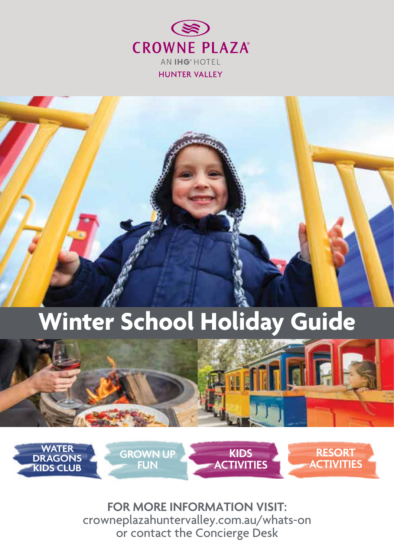

# **Winter School Holiday Guide**





**FOR MORE INFORMATION VISIT:** crowneplazahuntervalley.com.au/whats-on or contact the Concierge Desk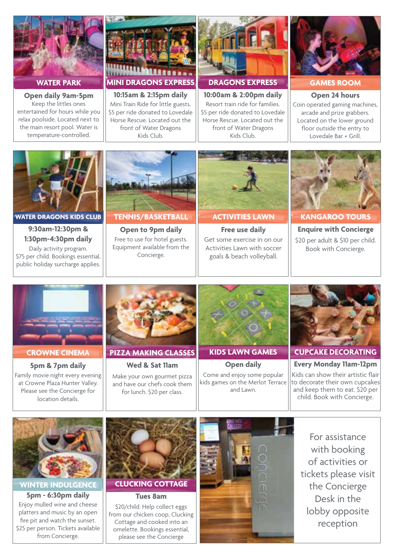

**WATER PARK**

**Open daily 9am-5pm** Keep the littles ones entertained for hours while you relax poolside. Located next to the main resort pool. Water is temperature-controlled.



\$5 per ride donated to Lovedale Horse Rescue. Located out the front of Water Dragons Kids Club.



**DRAGONS EXPRESS** 

**10:00am & 2:00pm daily** Resort train ride for families. \$5 per ride donated to Lovedale Horse Rescue. Located out the front of Water Dragons Kids Club.



**GAMES ROOM** 

**Open 24 hours** Coin operated gaming machines, arcade and prize grabbers. Located on the lower ground floor outside the entry to Lovedale Bar + Grill.





#### **CROWNE CINEMA**

**5pm & 7pm daily** Family movie night every evening at Crowne Plaza Hunter Valley. Please see the Concierge for location details.



**PIZZA MAKING CLASSES** 

**Wed & Sat 11am** Make your own gourmet pizza and have our chefs cook them for lunch. \$20 per class.

**KIDS LAWN GAMES Open daily**



Come and enjoy some popular kids games on the Merlot Terrace and Lawn.

**Every Monday 11am-12pm** Kids can show their artistic flair to decorate their own cupcakes and keep them to eat. \$20 per child. Book with Concierge.



**WINTER INDULGENCE** 

**5pm - 6:30pm daily** Enjoy mulled wine and cheese platters and music by an open fire pit and watch the sunset. \$25 per person. Tickets available from Concierge.



\$20/child. Help collect eggs from our chicken coop, Clucking Cottage and cooked into an omelette. Bookings essential, please see the Concierge



For assistance with booking of activities or tickets please visit the Concierge Desk in the lobby opposite reception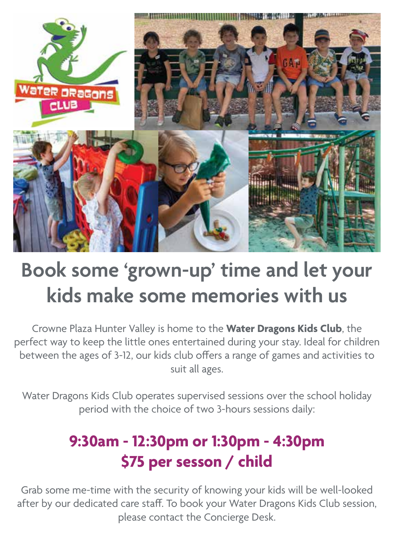

## **Book some 'grown-up' time and let your kids make some memories with us**

Crowne Plaza Hunter Valley is home to the **Water Dragons Kids Club**, the perfect way to keep the little ones entertained during your stay. Ideal for children between the ages of 3-12, our kids club offers a range of games and activities to suit all ages.

Water Dragons Kids Club operates supervised sessions over the school holiday period with the choice of two 3-hours sessions daily:

## **9:30am - 12:30pm or 1:30pm - 4:30pm \$75 per sesson / child**

Grab some me-time with the security of knowing your kids will be well-looked after by our dedicated care staff. To book your Water Dragons Kids Club session, please contact the Concierge Desk.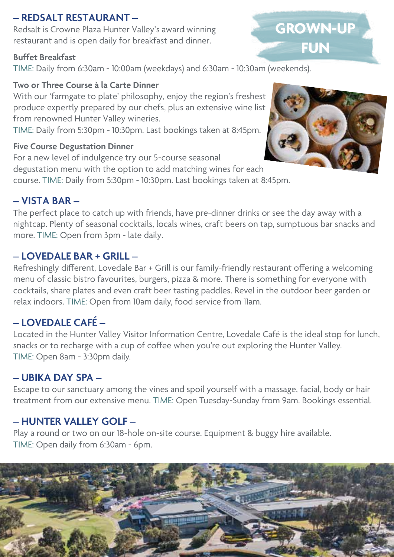## **– REDSALT RESTAURANT –**

Redsalt is Crowne Plaza Hunter Valley's award winning restaurant and is open daily for breakfast and dinner.

### **Buffet Breakfast**

TIME: Daily from 6:30am - 10:00am (weekdays) and 6:30am - 10:30am (weekends).

### **Two or Three Course à la Carte Dinner**

With our 'farmgate to plate' philosophy, enjoy the region's freshest produce expertly prepared by our chefs, plus an extensive wine list from renowned Hunter Valley wineries.

TIME: Daily from 5:30pm - 10:30pm. Last bookings taken at 8:45pm.

## **Five Course Degustation Dinner**

For a new level of indulgence try our 5-course seasonal degustation menu with the option to add matching wines for each course. TIME: Daily from 5:30pm - 10:30pm. Last bookings taken at 8:45pm.

## **– VISTA BAR –**

The perfect place to catch up with friends, have pre-dinner drinks or see the day away with a nightcap. Plenty of seasonal cocktails, locals wines, craft beers on tap, sumptuous bar snacks and more. TIME: Open from 3pm - late daily.

## **– LOVEDALE BAR + GRILL –**

Refreshingly different, Lovedale Bar + Grill is our family-friendly restaurant offering a welcoming menu of classic bistro favourites, burgers, pizza & more. There is something for everyone with cocktails, share plates and even craft beer tasting paddles. Revel in the outdoor beer garden or relax indoors. TIME: Open from 10am daily, food service from 11am.

## **– LOVEDALE CAFÉ –**

Located in the Hunter Valley Visitor Information Centre, Lovedale Café is the ideal stop for lunch, snacks or to recharge with a cup of coffee when you're out exploring the Hunter Valley. TIME: Open 8am - 3:30pm daily.

## **– UBIKA DAY SPA –**

Escape to our sanctuary among the vines and spoil yourself with a massage, facial, body or hair treatment from our extensive menu. TIME: Open Tuesday-Sunday from 9am. Bookings essential.

## **– HUNTER VALLEY GOLF –**

Play a round or two on our 18-hole on-site course. Equipment & buggy hire available. TIME: Open daily from 6:30am - 6pm.





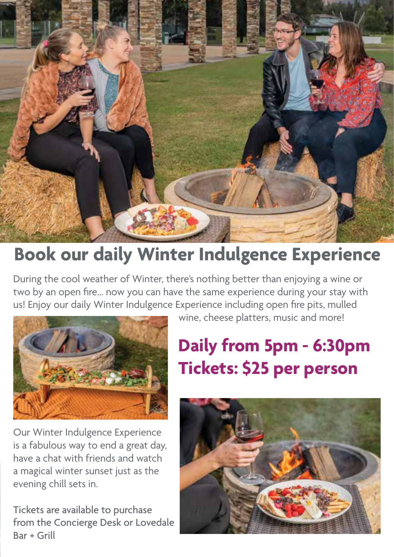

## **Book our daily Winter Indulgence Experience**

During the cool weather of Winter, there's nothing better than enjoying a wine or two by an open fire... now you can have the same experience during your stay with us! Enjoy our daily Winter Indulgence Experience including open fire pits, mulled



Our Winter Indulgence Experience is a fabulous way to end a great day, have a chat with friends and watch a magical winter sunset just as the evening chill sets in.

Tickets are available to purchase from the Concierge Desk or Lovedale Bar + Grill

wine, cheese platters, music and more!

## **Daily from 5pm - 6:30pm Tickets: \$25 per person**

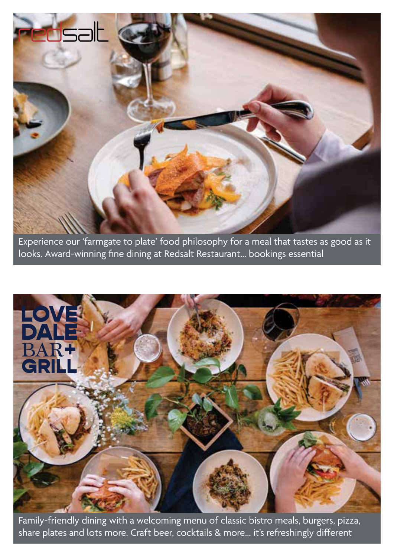

Experience our 'farmgate to plate' food philosophy for a meal that tastes as good as it looks. Award-winning fine dining at Redsalt Restaurant... bookings essential



Family-friendly dining with a welcoming menu of classic bistro meals, burgers, pizza, share plates and lots more. Craft beer, cocktails & more... it's refreshingly different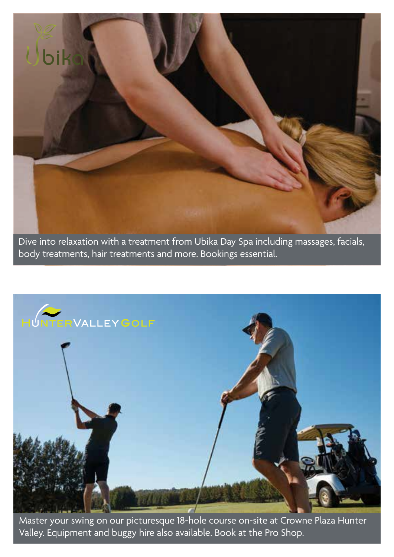

Dive into relaxation with a treatment from Ubika Day Spa including massages, facials, body treatments, hair treatments and more. Bookings essential.



Master your swing on our picturesque 18-hole course on-site at Crowne Plaza Hunter Valley. Equipment and buggy hire also available. Book at the Pro Shop.